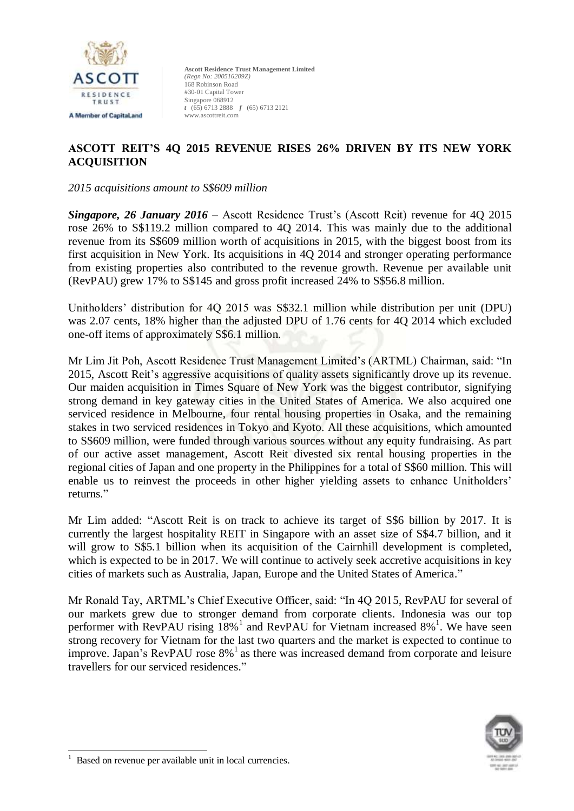

# **ASCOTT REIT'S 4Q 2015 REVENUE RISES 26% DRIVEN BY ITS NEW YORK ACQUISITION**

*2015 acquisitions amount to S\$609 million*

*Singapore, 26 January 2016* – Ascott Residence Trust's (Ascott Reit) revenue for 4Q 2015 rose 26% to S\$119.2 million compared to 4Q 2014. This was mainly due to the additional revenue from its S\$609 million worth of acquisitions in 2015, with the biggest boost from its first acquisition in New York. Its acquisitions in 4Q 2014 and stronger operating performance from existing properties also contributed to the revenue growth. Revenue per available unit (RevPAU) grew 17% to S\$145 and gross profit increased 24% to S\$56.8 million.

Unitholders' distribution for 4Q 2015 was S\$32.1 million while distribution per unit (DPU) was 2.07 cents, 18% higher than the adjusted DPU of 1.76 cents for 4Q 2014 which excluded one-off items of approximately S\$6.1 million.

Mr Lim Jit Poh, Ascott Residence Trust Management Limited's (ARTML) Chairman, said: "In 2015, Ascott Reit's aggressive acquisitions of quality assets significantly drove up its revenue. Our maiden acquisition in Times Square of New York was the biggest contributor, signifying strong demand in key gateway cities in the United States of America. We also acquired one serviced residence in Melbourne, four rental housing properties in Osaka, and the remaining stakes in two serviced residences in Tokyo and Kyoto. All these acquisitions, which amounted to S\$609 million, were funded through various sources without any equity fundraising. As part of our active asset management, Ascott Reit divested six rental housing properties in the regional cities of Japan and one property in the Philippines for a total of S\$60 million. This will enable us to reinvest the proceeds in other higher yielding assets to enhance Unitholders' returns."

Mr Lim added: "Ascott Reit is on track to achieve its target of S\$6 billion by 2017. It is currently the largest hospitality REIT in Singapore with an asset size of S\$4.7 billion, and it will grow to S\$5.1 billion when its acquisition of the Cairnhill development is completed, which is expected to be in 2017. We will continue to actively seek accretive acquisitions in key cities of markets such as Australia, Japan, Europe and the United States of America."

Mr Ronald Tay, ARTML's Chief Executive Officer, said: "In 4Q 2015, RevPAU for several of our markets grew due to stronger demand from corporate clients. Indonesia was our top performer with RevPAU rising  $18\%$ <sup>1</sup> and RevPAU for Vietnam increased  $8\%$ <sup>1</sup>. We have seen strong recovery for Vietnam for the last two quarters and the market is expected to continue to improve. Japan's RevPAU rose 8%<sup>1</sup> as there was increased demand from corporate and leisure travellers for our serviced residences."



-

<sup>1</sup> Based on revenue per available unit in local currencies.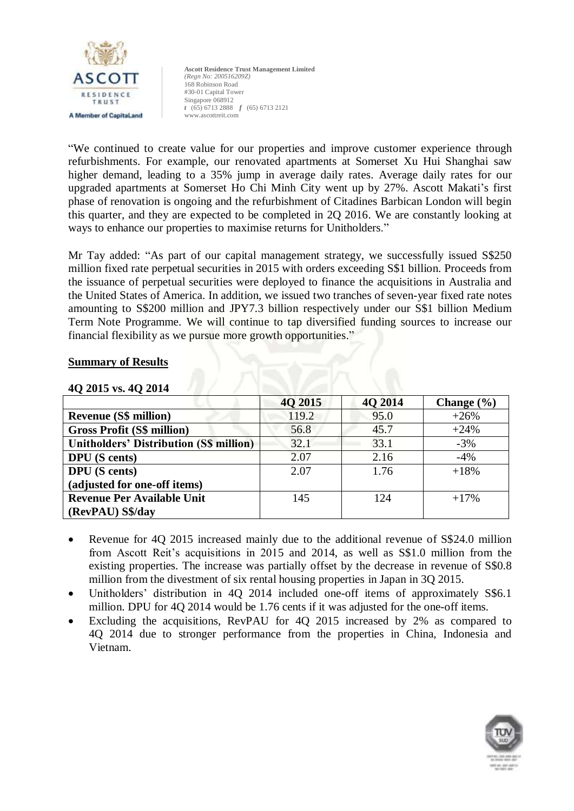

"We continued to create value for our properties and improve customer experience through refurbishments. For example, our renovated apartments at Somerset Xu Hui Shanghai saw higher demand, leading to a 35% jump in average daily rates. Average daily rates for our upgraded apartments at Somerset Ho Chi Minh City went up by 27%. Ascott Makati's first phase of renovation is ongoing and the refurbishment of Citadines Barbican London will begin this quarter, and they are expected to be completed in 2Q 2016. We are constantly looking at ways to enhance our properties to maximise returns for Unitholders."

Mr Tay added: "As part of our capital management strategy, we successfully issued S\$250 million fixed rate perpetual securities in 2015 with orders exceeding S\$1 billion. Proceeds from the issuance of perpetual securities were deployed to finance the acquisitions in Australia and the United States of America. In addition, we issued two tranches of seven-year fixed rate notes amounting to S\$200 million and JPY7.3 billion respectively under our S\$1 billion Medium Term Note Programme. We will continue to tap diversified funding sources to increase our financial flexibility as we pursue more growth opportunities."

## **Summary of Results**

|                                                | 4Q 2015 | 40 2014 | Change $(\% )$ |
|------------------------------------------------|---------|---------|----------------|
| <b>Revenue (S\$ million)</b>                   | 119.2   | 95.0    | $+26%$         |
| <b>Gross Profit (S\$ million)</b>              | 56.8    | 45.7    | $+24%$         |
| <b>Unitholders' Distribution (S\$ million)</b> | 32.1    | 33.1    | $-3\%$         |
| <b>DPU</b> (S cents)                           | 2.07    | 2.16    | $-4%$          |
| <b>DPU</b> (S cents)                           | 2.07    | 1.76    | $+18%$         |
| (adjusted for one-off items)                   |         |         |                |
| <b>Revenue Per Available Unit</b>              | 145     | 124     | $+17%$         |
| (RevPAU) S\$/day                               |         |         |                |

# **4Q 2015 vs. 4Q 2014**

- Revenue for 4Q 2015 increased mainly due to the additional revenue of S\$24.0 million from Ascott Reit's acquisitions in 2015 and 2014, as well as S\$1.0 million from the existing properties. The increase was partially offset by the decrease in revenue of S\$0.8 million from the divestment of six rental housing properties in Japan in 3Q 2015.
- Unitholders' distribution in 4Q 2014 included one-off items of approximately S\$6.1 million. DPU for 4Q 2014 would be 1.76 cents if it was adjusted for the one-off items.
- Excluding the acquisitions, RevPAU for 4Q 2015 increased by 2% as compared to 4Q 2014 due to stronger performance from the properties in China, Indonesia and Vietnam.

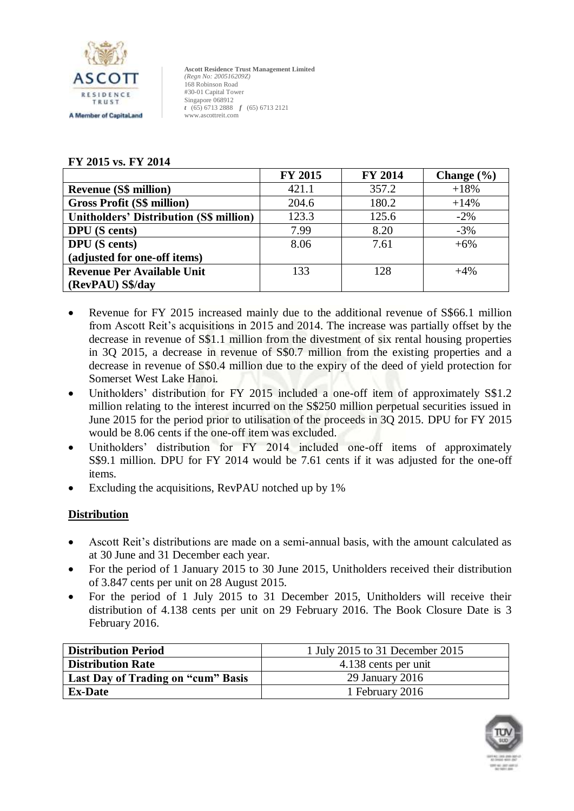

# **FY 2015 vs. FY 2014**

|                                                | <b>FY 2015</b> | <b>FY 2014</b> | Change $(\% )$ |
|------------------------------------------------|----------------|----------------|----------------|
| <b>Revenue (S\$ million)</b>                   | 421.1          | 357.2          | $+18%$         |
| <b>Gross Profit (S\$ million)</b>              | 204.6          | 180.2          | $+14%$         |
| <b>Unitholders' Distribution (S\$ million)</b> | 123.3          | 125.6          | $-2\%$         |
| <b>DPU</b> (S cents)                           | 7.99           | 8.20           | $-3%$          |
| <b>DPU</b> (S cents)                           | 8.06           | 7.61           | $+6%$          |
| (adjusted for one-off items)                   |                |                |                |
| <b>Revenue Per Available Unit</b>              | 133            | 128            | $+4%$          |
| (RevPAU) S\$/day                               |                |                |                |

- Revenue for FY 2015 increased mainly due to the additional revenue of S\$66.1 million from Ascott Reit's acquisitions in 2015 and 2014. The increase was partially offset by the decrease in revenue of S\$1.1 million from the divestment of six rental housing properties in 3Q 2015, a decrease in revenue of S\$0.7 million from the existing properties and a decrease in revenue of S\$0.4 million due to the expiry of the deed of yield protection for Somerset West Lake Hanoi.
- Unitholders' distribution for FY 2015 included a one-off item of approximately S\$1.2 million relating to the interest incurred on the S\$250 million perpetual securities issued in June 2015 for the period prior to utilisation of the proceeds in 3Q 2015. DPU for FY 2015 would be 8.06 cents if the one-off item was excluded.
- Unitholders' distribution for FY 2014 included one-off items of approximately S\$9.1 million. DPU for FY 2014 would be 7.61 cents if it was adjusted for the one-off items.
- Excluding the acquisitions, RevPAU notched up by 1%

# **Distribution**

- Ascott Reit's distributions are made on a semi-annual basis, with the amount calculated as at 30 June and 31 December each year.
- For the period of 1 January 2015 to 30 June 2015, Unitholders received their distribution of 3.847 cents per unit on 28 August 2015.
- For the period of 1 July 2015 to 31 December 2015, Unitholders will receive their distribution of 4.138 cents per unit on 29 February 2016. The Book Closure Date is 3 February 2016.

| <b>Distribution Period</b>         | 1 July 2015 to 31 December 2015 |
|------------------------------------|---------------------------------|
| <b>Distribution Rate</b>           | 4.138 cents per unit            |
| Last Day of Trading on "cum" Basis | 29 January 2016                 |
| <b>Ex-Date</b>                     | 1 February 2016                 |

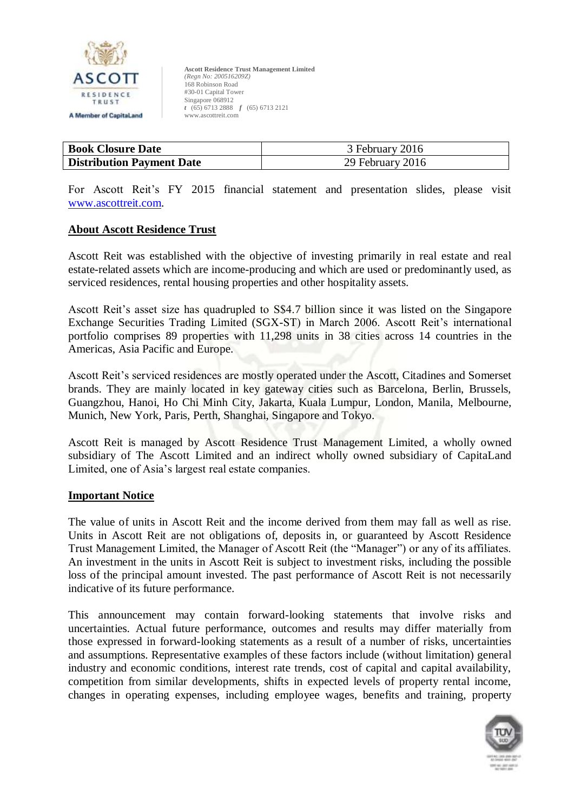

| <b>Book Closure Date</b>         | 3 February 2016  |
|----------------------------------|------------------|
| <b>Distribution Payment Date</b> | 29 February 2016 |

For Ascott Reit's FY 2015 financial statement and presentation slides, please visit [www.ascottreit.com.](http://www.ascottreit.com/)

#### **About Ascott Residence Trust**

Ascott Reit was established with the objective of investing primarily in real estate and real estate-related assets which are income-producing and which are used or predominantly used, as serviced residences, rental housing properties and other hospitality assets.

Ascott Reit's asset size has quadrupled to S\$4.7 billion since it was listed on the Singapore Exchange Securities Trading Limited (SGX-ST) in March 2006. Ascott Reit's international portfolio comprises 89 properties with 11,298 units in 38 cities across 14 countries in the Americas, Asia Pacific and Europe.

Ascott Reit's serviced residences are mostly operated under the Ascott, Citadines and Somerset brands. They are mainly located in key gateway cities such as Barcelona, Berlin, Brussels, Guangzhou, Hanoi, Ho Chi Minh City, Jakarta, Kuala Lumpur, London, Manila, Melbourne, Munich, New York, Paris, Perth, Shanghai, Singapore and Tokyo.

Ascott Reit is managed by Ascott Residence Trust Management Limited, a wholly owned subsidiary of The Ascott Limited and an indirect wholly owned subsidiary of CapitaLand Limited, one of Asia's largest real estate companies.

#### **Important Notice**

The value of units in Ascott Reit and the income derived from them may fall as well as rise. Units in Ascott Reit are not obligations of, deposits in, or guaranteed by Ascott Residence Trust Management Limited, the Manager of Ascott Reit (the "Manager") or any of its affiliates. An investment in the units in Ascott Reit is subject to investment risks, including the possible loss of the principal amount invested. The past performance of Ascott Reit is not necessarily indicative of its future performance.

This announcement may contain forward-looking statements that involve risks and uncertainties. Actual future performance, outcomes and results may differ materially from those expressed in forward-looking statements as a result of a number of risks, uncertainties and assumptions. Representative examples of these factors include (without limitation) general industry and economic conditions, interest rate trends, cost of capital and capital availability, competition from similar developments, shifts in expected levels of property rental income, changes in operating expenses, including employee wages, benefits and training, property